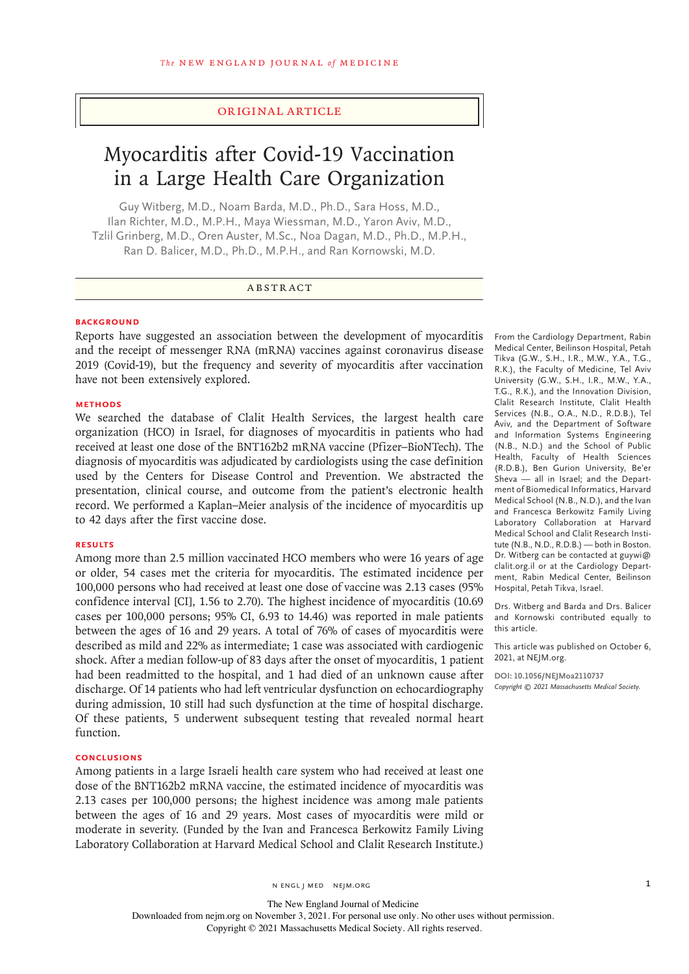## Original Article

# Myocarditis after Covid-19 Vaccination in a Large Health Care Organization

Guy Witberg, M.D., Noam Barda, M.D., Ph.D., Sara Hoss, M.D., Ilan Richter, M.D., M.P.H., Maya Wiessman, M.D., Yaron Aviv, M.D., Tzlil Grinberg, M.D., Oren Auster, M.Sc., Noa Dagan, M.D., Ph.D., M.P.H., Ran D. Balicer, M.D., Ph.D., M.P.H., and Ran Kornowski, M.D.

## ABSTRACT

## **BACKGROUND**

Reports have suggested an association between the development of myocarditis and the receipt of messenger RNA (mRNA) vaccines against coronavirus disease 2019 (Covid-19), but the frequency and severity of myocarditis after vaccination have not been extensively explored.

## **METHODS**

We searched the database of Clalit Health Services, the largest health care organization (HCO) in Israel, for diagnoses of myocarditis in patients who had received at least one dose of the BNT162b2 mRNA vaccine (Pfizer–BioNTech). The diagnosis of myocarditis was adjudicated by cardiologists using the case definition used by the Centers for Disease Control and Prevention. We abstracted the presentation, clinical course, and outcome from the patient's electronic health record. We performed a Kaplan–Meier analysis of the incidence of myocarditis up to 42 days after the first vaccine dose.

#### **RESULTS**

Among more than 2.5 million vaccinated HCO members who were 16 years of age or older, 54 cases met the criteria for myocarditis. The estimated incidence per 100,000 persons who had received at least one dose of vaccine was 2.13 cases (95% confidence interval [CI], 1.56 to 2.70). The highest incidence of myocarditis (10.69 cases per 100,000 persons; 95% CI, 6.93 to 14.46) was reported in male patients between the ages of 16 and 29 years. A total of 76% of cases of myocarditis were described as mild and 22% as intermediate; 1 case was associated with cardiogenic shock. After a median follow-up of 83 days after the onset of myocarditis, 1 patient had been readmitted to the hospital, and 1 had died of an unknown cause after discharge. Of 14 patients who had left ventricular dysfunction on echocardiography during admission, 10 still had such dysfunction at the time of hospital discharge. Of these patients, 5 underwent subsequent testing that revealed normal heart function.

## **CONCLUSIONS**

Among patients in a large Israeli health care system who had received at least one dose of the BNT162b2 mRNA vaccine, the estimated incidence of myocarditis was 2.13 cases per 100,000 persons; the highest incidence was among male patients between the ages of 16 and 29 years. Most cases of myocarditis were mild or moderate in severity. (Funded by the Ivan and Francesca Berkowitz Family Living Laboratory Collaboration at Harvard Medical School and Clalit Research Institute.)

n engl j med nejm.org 1

Medical Center, Beilinson Hospital, Petah Tikva (G.W., S.H., I.R., M.W., Y.A., T.G., R.K.), the Faculty of Medicine, Tel Aviv University (G.W., S.H., I.R., M.W., Y.A., T.G., R.K.), and the Innovation Division, Clalit Research Institute, Clalit Health Services (N.B., O.A., N.D., R.D.B.), Tel Aviv, and the Department of Software and Information Systems Engineering (N.B., N.D.) and the School of Public Health, Faculty of Health Sciences (R.D.B.), Ben Gurion University, Be'er Sheva — all in Israel; and the Department of Biomedical Informatics, Harvard Medical School (N.B., N.D.), and the Ivan and Francesca Berkowitz Family Living Laboratory Collaboration at Harvard Medical School and Clalit Research Institute (N.B., N.D., R.D.B.) — both in Boston. Dr. Witberg can be contacted at guywi@ clalit.org.il or at the Cardiology Department, Rabin Medical Center, Beilinson Hospital, Petah Tikva, Israel.

From the Cardiology Department, Rabin

Drs. Witberg and Barda and Drs. Balicer and Kornowski contributed equally to this article.

This article was published on October 6, 2021, at NEJM.org.

**DOI: 10.1056/NEJMoa2110737** *Copyright © 2021 Massachusetts Medical Society.*

The New England Journal of Medicine Downloaded from nejm.org on November 3, 2021. For personal use only. No other uses without permission. Copyright © 2021 Massachusetts Medical Society. All rights reserved.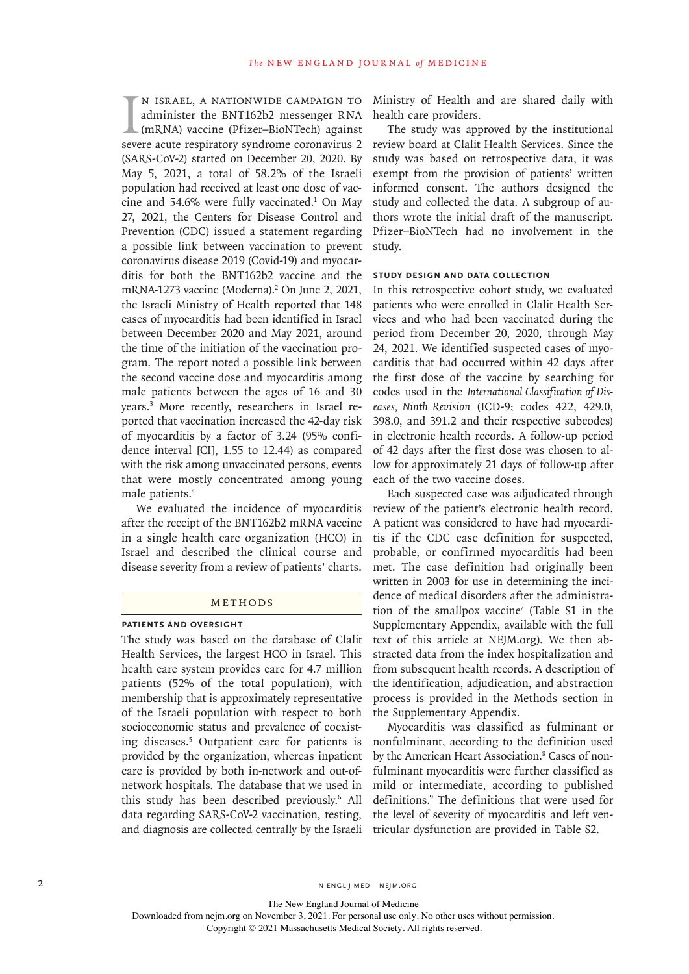IN ISRAEL, A NATIONWIDE CAMPAIGN TO<br>administer the BNT162b2 messenger RNA<br>(mRNA) vaccine (Pfizer-BioNTech) against<br>severe acute respiratory syndrome coronavirus 2 n Israel, a nationwide campaign to administer the BNT162b2 messenger RNA (mRNA) vaccine (Pfizer–BioNTech) against (SARS-CoV-2) started on December 20, 2020. By May 5, 2021, a total of 58.2% of the Israeli population had received at least one dose of vaccine and 54.6% were fully vaccinated. $1$  On May 27, 2021, the Centers for Disease Control and Prevention (CDC) issued a statement regarding a possible link between vaccination to prevent coronavirus disease 2019 (Covid-19) and myocarditis for both the BNT162b2 vaccine and the mRNA-1273 vaccine (Moderna).<sup>2</sup> On June 2, 2021, the Israeli Ministry of Health reported that 148 cases of myocarditis had been identified in Israel between December 2020 and May 2021, around the time of the initiation of the vaccination program. The report noted a possible link between the second vaccine dose and myocarditis among male patients between the ages of 16 and 30 years.3 More recently, researchers in Israel reported that vaccination increased the 42-day risk of myocarditis by a factor of 3.24 (95% confidence interval [CI], 1.55 to 12.44) as compared with the risk among unvaccinated persons, events that were mostly concentrated among young male patients.4

We evaluated the incidence of myocarditis after the receipt of the BNT162b2 mRNA vaccine in a single health care organization (HCO) in Israel and described the clinical course and disease severity from a review of patients' charts.

### METHODS

#### **Patients and Oversight**

The study was based on the database of Clalit Health Services, the largest HCO in Israel. This health care system provides care for 4.7 million patients (52% of the total population), with membership that is approximately representative of the Israeli population with respect to both socioeconomic status and prevalence of coexisting diseases.5 Outpatient care for patients is provided by the organization, whereas inpatient care is provided by both in-network and out-ofnetwork hospitals. The database that we used in this study has been described previously.6 All data regarding SARS-CoV-2 vaccination, testing, and diagnosis are collected centrally by the Israeli

Ministry of Health and are shared daily with health care providers.

The study was approved by the institutional review board at Clalit Health Services. Since the study was based on retrospective data, it was exempt from the provision of patients' written informed consent. The authors designed the study and collected the data. A subgroup of authors wrote the initial draft of the manuscript. Pfizer–BioNTech had no involvement in the study.

#### **Study Design and Data Collection**

In this retrospective cohort study, we evaluated patients who were enrolled in Clalit Health Services and who had been vaccinated during the period from December 20, 2020, through May 24, 2021. We identified suspected cases of myocarditis that had occurred within 42 days after the first dose of the vaccine by searching for codes used in the *International Classification of Diseases, Ninth Revision* (ICD-9; codes 422, 429.0, 398.0, and 391.2 and their respective subcodes) in electronic health records. A follow-up period of 42 days after the first dose was chosen to allow for approximately 21 days of follow-up after each of the two vaccine doses.

Each suspected case was adjudicated through review of the patient's electronic health record. A patient was considered to have had myocarditis if the CDC case definition for suspected, probable, or confirmed myocarditis had been met. The case definition had originally been written in 2003 for use in determining the incidence of medical disorders after the administration of the smallpox vaccine<sup>7</sup> (Table S1 in the Supplementary Appendix, available with the full text of this article at NEJM.org). We then abstracted data from the index hospitalization and from subsequent health records. A description of the identification, adjudication, and abstraction process is provided in the Methods section in the Supplementary Appendix.

Myocarditis was classified as fulminant or nonfulminant, according to the definition used by the American Heart Association.<sup>8</sup> Cases of nonfulminant myocarditis were further classified as mild or intermediate, according to published definitions.9 The definitions that were used for the level of severity of myocarditis and left ventricular dysfunction are provided in Table S2.

2 N ENGL J MED NEJM.ORG

The New England Journal of Medicine

Downloaded from nejm.org on November 3, 2021. For personal use only. No other uses without permission.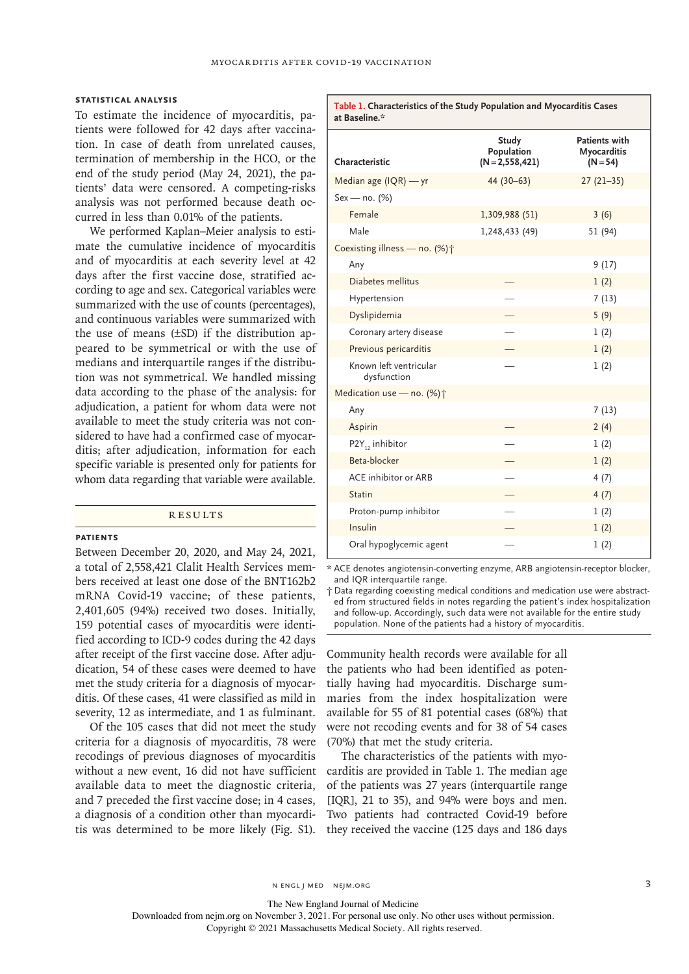#### **Statistical Analysis**

To estimate the incidence of myocarditis, patients were followed for 42 days after vaccination. In case of death from unrelated causes, termination of membership in the HCO, or the end of the study period (May 24, 2021), the patients' data were censored. A competing-risks analysis was not performed because death occurred in less than 0.01% of the patients.

We performed Kaplan–Meier analysis to estimate the cumulative incidence of myocarditis and of myocarditis at each severity level at 42 days after the first vaccine dose, stratified according to age and sex. Categorical variables were summarized with the use of counts (percentages), and continuous variables were summarized with the use of means (±SD) if the distribution appeared to be symmetrical or with the use of medians and interquartile ranges if the distribution was not symmetrical. We handled missing data according to the phase of the analysis: for adjudication, a patient for whom data were not available to meet the study criteria was not considered to have had a confirmed case of myocarditis; after adjudication, information for each specific variable is presented only for patients for whom data regarding that variable were available.

## **RESULTS**

#### **Patients**

Between December 20, 2020, and May 24, 2021, a total of 2,558,421 Clalit Health Services members received at least one dose of the BNT162b2 mRNA Covid-19 vaccine; of these patients, 2,401,605 (94%) received two doses. Initially, 159 potential cases of myocarditis were identified according to ICD-9 codes during the 42 days after receipt of the first vaccine dose. After adjudication, 54 of these cases were deemed to have met the study criteria for a diagnosis of myocarditis. Of these cases, 41 were classified as mild in severity, 12 as intermediate, and 1 as fulminant.

Of the 105 cases that did not meet the study criteria for a diagnosis of myocarditis, 78 were recodings of previous diagnoses of myocarditis without a new event, 16 did not have sufficient available data to meet the diagnostic criteria, and 7 preceded the first vaccine dose; in 4 cases, a diagnosis of a condition other than myocarditis was determined to be more likely (Fig. S1).

| at Baseline.*                         |                                        |                                                   |
|---------------------------------------|----------------------------------------|---------------------------------------------------|
| Characteristic                        | Study<br>Population<br>$(N=2,558,421)$ | <b>Patients with</b><br>Myocarditis<br>$(N = 54)$ |
| Median age (IQR) - yr                 | 44 (30-63)                             | $27(21-35)$                                       |
| $Sex - no. (%)$                       |                                        |                                                   |
| Female                                | 1,309,988 (51)                         | 3(6)                                              |
| Male                                  | 1,248,433 (49)                         | 51 (94)                                           |
| Coexisting illness - no. (%) +        |                                        |                                                   |
| Any                                   |                                        | 9(17)                                             |
| Diabetes mellitus                     |                                        | 1(2)                                              |
| Hypertension                          |                                        | 7(13)                                             |
| Dyslipidemia                          |                                        | 5(9)                                              |
| Coronary artery disease               |                                        | 1(2)                                              |
| Previous pericarditis                 |                                        | 1(2)                                              |
| Known left ventricular<br>dysfunction |                                        | 1(2)                                              |
| Medication use - no. (%) +            |                                        |                                                   |
| Any                                   |                                        | 7(13)                                             |
| Aspirin                               |                                        | 2(4)                                              |
| $P2Y_{12}$ inhibitor                  |                                        | 1(2)                                              |
| Beta-blocker                          |                                        | 1(2)                                              |
| ACE inhibitor or ARB                  |                                        | 4(7)                                              |
| <b>Statin</b>                         |                                        | 4(7)                                              |
| Proton-pump inhibitor                 |                                        | 1(2)                                              |
| Insulin                               |                                        | 1(2)                                              |
| Oral hypoglycemic agent               |                                        | 1(2)                                              |

**Table 1. Characteristics of the Study Population and Myocarditis Cases**

\* ACE denotes angiotensin-converting enzyme, ARB angiotensin-receptor blocker, and IQR interquartile range.

† Data regarding coexisting medical conditions and medication use were abstracted from structured fields in notes regarding the patient's index hospitalization and follow-up. Accordingly, such data were not available for the entire study population. None of the patients had a history of myocarditis.

Community health records were available for all the patients who had been identified as potentially having had myocarditis. Discharge summaries from the index hospitalization were available for 55 of 81 potential cases (68%) that were not recoding events and for 38 of 54 cases (70%) that met the study criteria.

The characteristics of the patients with myocarditis are provided in Table 1. The median age of the patients was 27 years (interquartile range [IQR], 21 to 35), and 94% were boys and men. Two patients had contracted Covid-19 before they received the vaccine (125 days and 186 days

n engl j med nejm.org 3

The New England Journal of Medicine

Downloaded from nejm.org on November 3, 2021. For personal use only. No other uses without permission.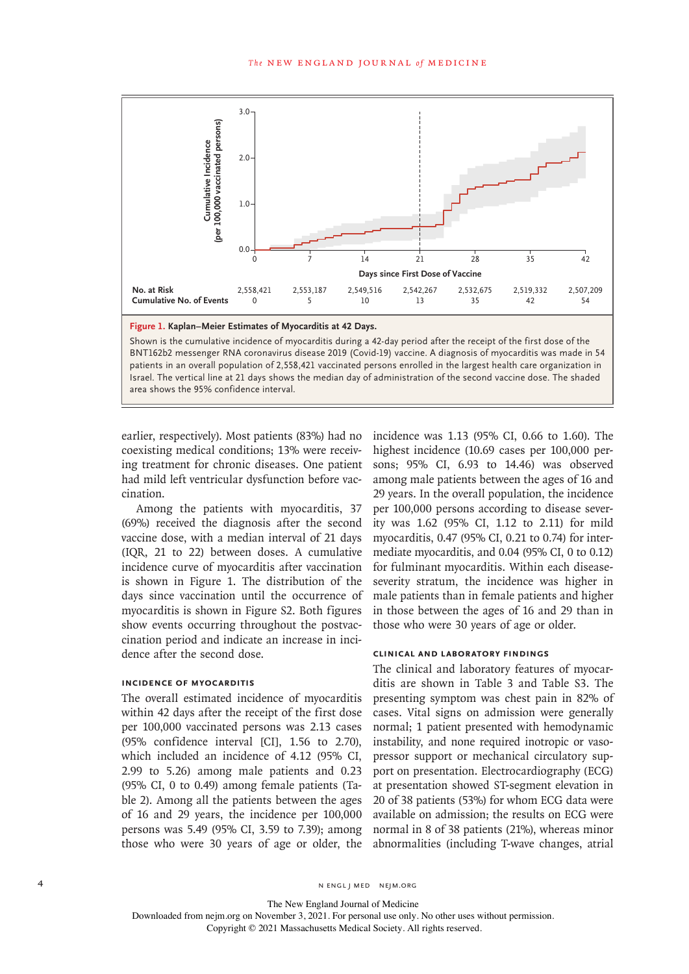

earlier, respectively). Most patients (83%) had no coexisting medical conditions; 13% were receiving treatment for chronic diseases. One patient had mild left ventricular dysfunction before vaccination.

Among the patients with myocarditis, 37 (69%) received the diagnosis after the second vaccine dose, with a median interval of 21 days (IQR, 21 to 22) between doses. A cumulative incidence curve of myocarditis after vaccination is shown in Figure 1. The distribution of the days since vaccination until the occurrence of myocarditis is shown in Figure S2. Both figures show events occurring throughout the postvaccination period and indicate an increase in incidence after the second dose.

#### **Incidence of Myocarditis**

The overall estimated incidence of myocarditis within 42 days after the receipt of the first dose per 100,000 vaccinated persons was 2.13 cases (95% confidence interval [CI], 1.56 to 2.70), which included an incidence of 4.12 (95% CI, 2.99 to 5.26) among male patients and 0.23 (95% CI, 0 to 0.49) among female patients (Table 2). Among all the patients between the ages of 16 and 29 years, the incidence per 100,000 persons was 5.49 (95% CI, 3.59 to 7.39); among those who were 30 years of age or older, the incidence was 1.13 (95% CI, 0.66 to 1.60). The highest incidence (10.69 cases per 100,000 persons; 95% CI, 6.93 to 14.46) was observed among male patients between the ages of 16 and 29 years. In the overall population, the incidence per 100,000 persons according to disease severity was 1.62 (95% CI, 1.12 to 2.11) for mild myocarditis, 0.47 (95% CI, 0.21 to 0.74) for intermediate myocarditis, and 0.04 (95% CI, 0 to 0.12) for fulminant myocarditis. Within each diseaseseverity stratum, the incidence was higher in male patients than in female patients and higher in those between the ages of 16 and 29 than in those who were 30 years of age or older.

## **Clinical and Laboratory Findings**

The clinical and laboratory features of myocarditis are shown in Table 3 and Table S3. The presenting symptom was chest pain in 82% of cases. Vital signs on admission were generally normal; 1 patient presented with hemodynamic instability, and none required inotropic or vasopressor support or mechanical circulatory support on presentation. Electrocardiography (ECG) at presentation showed ST-segment elevation in 20 of 38 patients (53%) for whom ECG data were available on admission; the results on ECG were normal in 8 of 38 patients (21%), whereas minor abnormalities (including T-wave changes, atrial

4 n engl j med nejm.org nejm.org nejm.org nejm.org nejm.org nejm.org nejm.org nejm.org neigm.org neigm.org neigm.org neigm.org neigm.org neigm.org neigm.org neigm.org neigm.org neigm.org neigm.org neigm.org neigm.org neigm

The New England Journal of Medicine

Downloaded from nejm.org on November 3, 2021. For personal use only. No other uses without permission.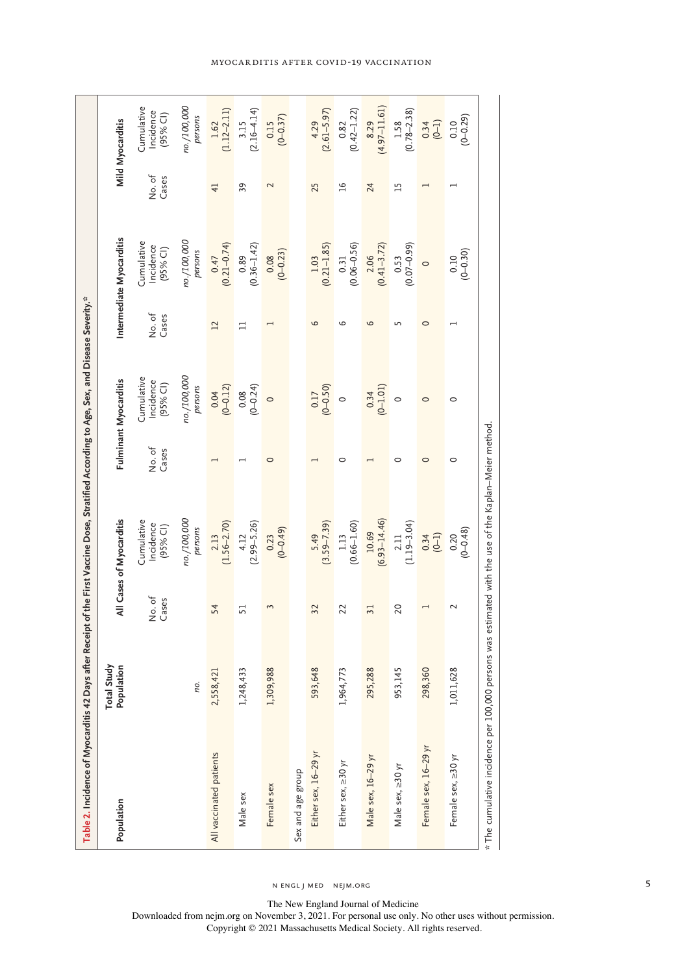| Table 2. Incidence of Myocarditis 42 Days after Receipt of the First Vaccine Dose, Stratified According to Age, Sex, and Disease Severity." |                                  |                 |                                                      |                |                                       |                 |                                                      |                 |                                     |
|---------------------------------------------------------------------------------------------------------------------------------------------|----------------------------------|-----------------|------------------------------------------------------|----------------|---------------------------------------|-----------------|------------------------------------------------------|-----------------|-------------------------------------|
| Population                                                                                                                                  | <b>Total Study</b><br>Population |                 | All Cases of Myocarditis                             |                | Fulminant Myocarditis                 |                 | Intermediate Myocarditis                             |                 | Mild Myocarditis                    |
|                                                                                                                                             |                                  | No. of<br>Cases | Cumulative<br>Incidence<br>(95% CI)                  | No.of<br>Cases | Cumulative<br>Incidence<br>$(95%$ CI) | No. of<br>Cases | Cumulative<br>ncidence<br>(95% CI)                   | No. of<br>Cases | Cumulative<br>Incidence<br>(95% CI) |
|                                                                                                                                             | пo.                              |                 | no./100,000<br>persons                               |                | no./100,000<br>persons                |                 | no./100,000<br>persons                               |                 | no./100,000<br>persons              |
| All vaccinated patients                                                                                                                     | 2,558,421                        | 54              | $\begin{array}{c} 2.13 \\ (1.56 - 2.70) \end{array}$ |                | $0.04$<br>$(0-0.12)$                  | $\overline{12}$ | $\begin{pmatrix} 0.47 \\ 0.21 - 0.74 \end{pmatrix}$  | $\overline{41}$ | $1.62$<br>(1.12–2.11)               |
| Male sex                                                                                                                                    | 1,248,433                        | 51              | $4.12$<br>(2.99-5.26)                                |                | $0.08$<br>(0-0.24)                    | $\Box$          | $0.89$<br>$(0.36-1.42)$                              | 39              | $(2.16 - 4.14)$<br>3.15             |
| Female sex                                                                                                                                  | 1,309,988                        | 3               | $0.23$<br>$(0-0.49)$                                 | $\circ$        | $\circ$                               |                 | $0.08$<br>(0-0.23)                                   | $\mathbf 2$     | $0.15$<br>(0-0.37)                  |
| Sex and age group                                                                                                                           |                                  |                 |                                                      |                |                                       |                 |                                                      |                 |                                     |
| Either sex, 16-29 yr                                                                                                                        | 593,648                          | 32              | $(3.59 - 7.39)$<br>5.49                              |                | $0.17$<br>(0-0.50)                    | 6               | $\begin{array}{c} 1.03 \\ (0.21 - 1.85) \end{array}$ | 25              | $(2.61 - 5.97)$<br>4.29             |
| Either sex, ≥30 yr                                                                                                                          | 1,964,773                        | 22              | $(0.66 - 1.60)$<br>1.13                              | 0              | $\circ$                               | ص               | $\begin{array}{c} 0.31 \\ (0.06 - 0.56) \end{array}$ | $\overline{a}$  | $0.82$<br>(0.42–1.22)               |
| Male sex, 16-29 yr                                                                                                                          | 295,288                          | 31              | $10.69$<br>(6.93-14.46)                              |                | $0.34$<br>(0-1.01)                    | 6               | $\begin{array}{c} 2.06 \\ (0.41 - 3.72) \end{array}$ | 24              | $(4.97-11.61)$                      |
| Male sex, 230 yr                                                                                                                            | 953,145                          | 20              | $2.11$<br>(1.19–3.04)                                | 0              | $\circ$                               | 5               | $0.53$<br>$(0.07 - 0.99)$                            | 15              | $1.58$<br>(0.78-2.38)               |
| Female sex, 16-29 yr                                                                                                                        | 298,360                          |                 | $0.34$<br>(0-1)                                      | $\circ$        | $\circ$                               | $\circ$         | $\circ$                                              |                 | $(0-1)$                             |
| Female sex, ≥30 yr                                                                                                                          | 1,011,628                        | $\sim$          | $0.20$<br>$(0-0.48)$                                 | $\circ$        | $\circ$                               |                 | $(0.10$<br>$(0-0.30)$                                |                 | $0.10$<br>$(0-0.29)$                |
| * The cumulative incidence per 100,000 persons was estimated with the use of the Kaplan–Meier method                                        |                                  |                 |                                                      |                |                                       |                 |                                                      |                 |                                     |

Myocarditis after Covid-19 Vaccination

n engl j med nejm.org 5

The New England Journal of Medicine

Downloaded from nejm.org on November 3, 2021. For personal use only. No other uses without permission. Copyright © 2021 Massachusetts Medical Society. All rights reserved.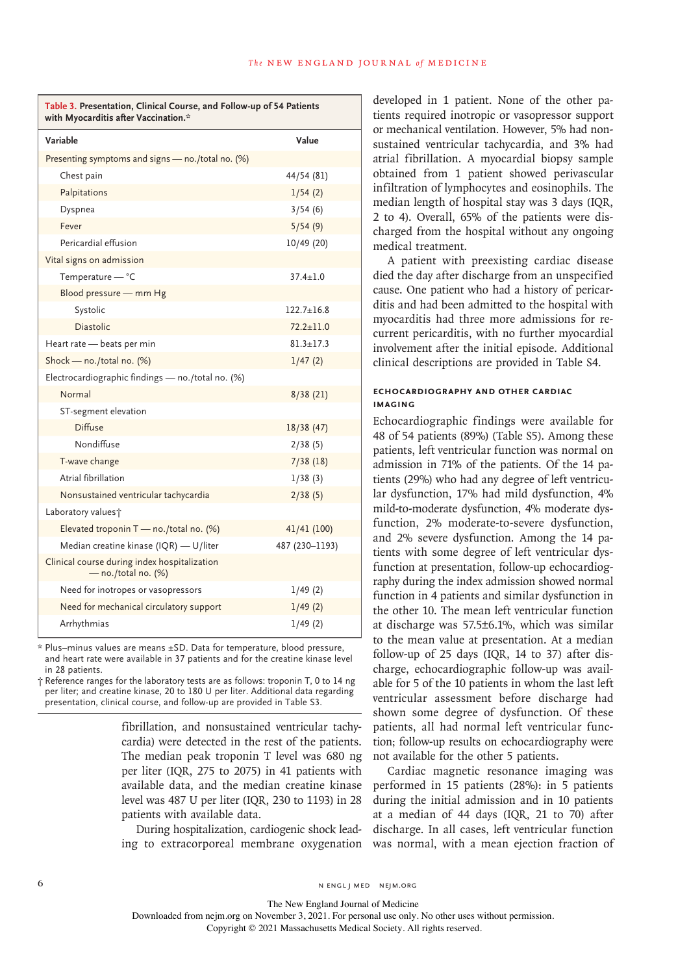| Table 3. Presentation, Clinical Course, and Follow-up of 54 Patients<br>with Myocarditis after Vaccination.* |                  |  |
|--------------------------------------------------------------------------------------------------------------|------------------|--|
| Variable                                                                                                     | Value            |  |
| Presenting symptoms and signs - no./total no. (%)                                                            |                  |  |
| Chest pain                                                                                                   | 44/54 (81)       |  |
| Palpitations                                                                                                 | 1/54(2)          |  |
| Dyspnea                                                                                                      | 3/54(6)          |  |
| Fever                                                                                                        | 5/54(9)          |  |
| Pericardial effusion                                                                                         | 10/49 (20)       |  |
| Vital signs on admission                                                                                     |                  |  |
| Temperature - °C                                                                                             | $37.4 \pm 1.0$   |  |
| Blood pressure - mm Hg                                                                                       |                  |  |
| Systolic                                                                                                     | $122.7 \pm 16.8$ |  |
| <b>Diastolic</b>                                                                                             | $72.2 \pm 11.0$  |  |
| Heart rate - beats per min                                                                                   | $81.3 \pm 17.3$  |  |
| Shock - no./total no. (%)                                                                                    | 1/47(2)          |  |
| Electrocardiographic findings - no./total no. (%)                                                            |                  |  |
| Normal                                                                                                       | 8/38(21)         |  |
| ST-segment elevation                                                                                         |                  |  |
| <b>Diffuse</b>                                                                                               | 18/38(47)        |  |
| Nondiffuse                                                                                                   | 2/38(5)          |  |
| T-wave change                                                                                                | 7/38(18)         |  |
| Atrial fibrillation                                                                                          | 1/38(3)          |  |
| Nonsustained ventricular tachycardia                                                                         | 2/38(5)          |  |
| Laboratory values <sup>+</sup>                                                                               |                  |  |
| Elevated troponin T - no./total no. (%)                                                                      | 41/41 (100)      |  |
| Median creatine kinase (IQR) - U/liter                                                                       | 487 (230-1193)   |  |
| Clinical course during index hospitalization<br>$-$ no./total no. $(\%)$                                     |                  |  |
| Need for inotropes or vasopressors                                                                           | 1/49(2)          |  |
| Need for mechanical circulatory support                                                                      | 1/49(2)          |  |
| Arrhythmias                                                                                                  | 1/49(2)          |  |

\* Plus–minus values are means ±SD. Data for temperature, blood pressure, and heart rate were available in 37 patients and for the creatine kinase level in 28 patients.

† Reference ranges for the laboratory tests are as follows: troponin T, 0 to 14 ng per liter; and creatine kinase, 20 to 180 U per liter. Additional data regarding presentation, clinical course, and follow-up are provided in Table S3.

> fibrillation, and nonsustained ventricular tachycardia) were detected in the rest of the patients. The median peak troponin T level was 680 ng per liter (IQR, 275 to 2075) in 41 patients with available data, and the median creatine kinase level was 487 U per liter (IQR, 230 to 1193) in 28 patients with available data.

During hospitalization, cardiogenic shock leading to extracorporeal membrane oxygenation

developed in 1 patient. None of the other patients required inotropic or vasopressor support or mechanical ventilation. However, 5% had nonsustained ventricular tachycardia, and 3% had atrial fibrillation. A myocardial biopsy sample obtained from 1 patient showed perivascular infiltration of lymphocytes and eosinophils. The median length of hospital stay was 3 days (IQR, 2 to 4). Overall, 65% of the patients were discharged from the hospital without any ongoing medical treatment.

A patient with preexisting cardiac disease died the day after discharge from an unspecified cause. One patient who had a history of pericarditis and had been admitted to the hospital with myocarditis had three more admissions for recurrent pericarditis, with no further myocardial involvement after the initial episode. Additional clinical descriptions are provided in Table S4.

## **Echocardiography and Other Cardiac Imaging**

Echocardiographic findings were available for 48 of 54 patients (89%) (Table S5). Among these patients, left ventricular function was normal on admission in 71% of the patients. Of the 14 patients (29%) who had any degree of left ventricular dysfunction, 17% had mild dysfunction, 4% mild-to-moderate dysfunction, 4% moderate dysfunction, 2% moderate-to-severe dysfunction, and 2% severe dysfunction. Among the 14 patients with some degree of left ventricular dysfunction at presentation, follow-up echocardiography during the index admission showed normal function in 4 patients and similar dysfunction in the other 10. The mean left ventricular function at discharge was 57.5±6.1%, which was similar to the mean value at presentation. At a median follow-up of 25 days (IQR, 14 to 37) after discharge, echocardiographic follow-up was available for 5 of the 10 patients in whom the last left ventricular assessment before discharge had shown some degree of dysfunction. Of these patients, all had normal left ventricular function; follow-up results on echocardiography were not available for the other 5 patients.

Cardiac magnetic resonance imaging was performed in 15 patients (28%): in 5 patients during the initial admission and in 10 patients at a median of 44 days (IQR, 21 to 70) after discharge. In all cases, left ventricular function was normal, with a mean ejection fraction of

6 N ENGL J MED NEJM.ORG

The New England Journal of Medicine

Downloaded from nejm.org on November 3, 2021. For personal use only. No other uses without permission.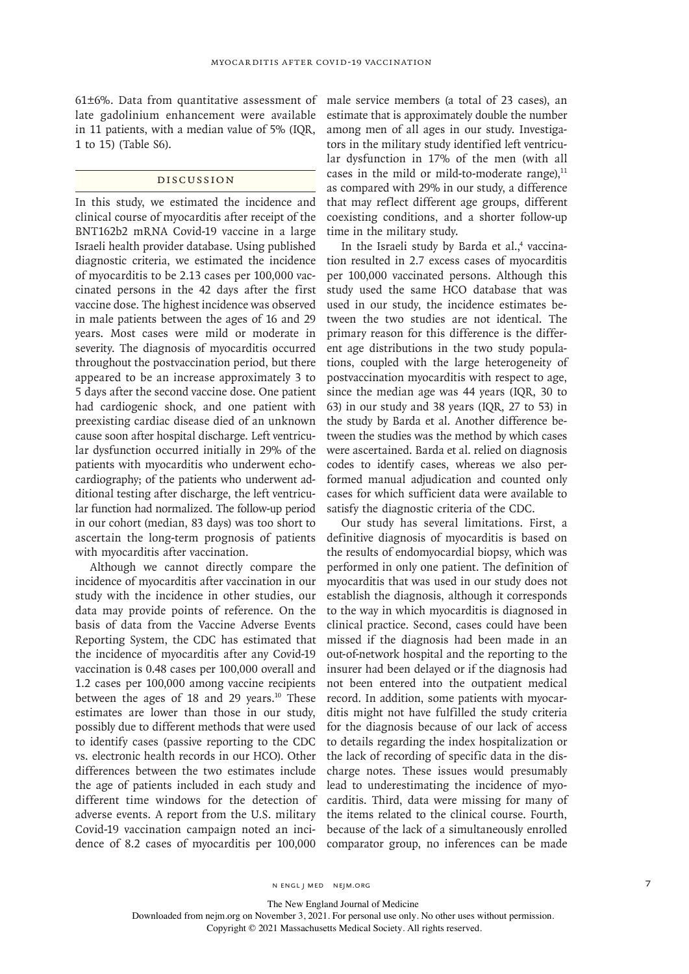61±6%. Data from quantitative assessment of late gadolinium enhancement were available in 11 patients, with a median value of 5% (IQR, 1 to 15) (Table S6).

## Discussion

In this study, we estimated the incidence and clinical course of myocarditis after receipt of the BNT162b2 mRNA Covid-19 vaccine in a large Israeli health provider database. Using published diagnostic criteria, we estimated the incidence of myocarditis to be 2.13 cases per 100,000 vaccinated persons in the 42 days after the first vaccine dose. The highest incidence was observed in male patients between the ages of 16 and 29 years. Most cases were mild or moderate in severity. The diagnosis of myocarditis occurred throughout the postvaccination period, but there appeared to be an increase approximately 3 to 5 days after the second vaccine dose. One patient had cardiogenic shock, and one patient with preexisting cardiac disease died of an unknown cause soon after hospital discharge. Left ventricular dysfunction occurred initially in 29% of the patients with myocarditis who underwent echocardiography; of the patients who underwent additional testing after discharge, the left ventricular function had normalized. The follow-up period in our cohort (median, 83 days) was too short to ascertain the long-term prognosis of patients with myocarditis after vaccination.

Although we cannot directly compare the incidence of myocarditis after vaccination in our study with the incidence in other studies, our data may provide points of reference. On the basis of data from the Vaccine Adverse Events Reporting System, the CDC has estimated that the incidence of myocarditis after any Covid-19 vaccination is 0.48 cases per 100,000 overall and 1.2 cases per 100,000 among vaccine recipients between the ages of 18 and 29 years.<sup>10</sup> These estimates are lower than those in our study, possibly due to different methods that were used to identify cases (passive reporting to the CDC vs. electronic health records in our HCO). Other differences between the two estimates include the age of patients included in each study and different time windows for the detection of adverse events. A report from the U.S. military Covid-19 vaccination campaign noted an incidence of 8.2 cases of myocarditis per 100,000 male service members (a total of 23 cases), an estimate that is approximately double the number among men of all ages in our study. Investigators in the military study identified left ventricular dysfunction in 17% of the men (with all cases in the mild or mild-to-moderate range). $11$ as compared with 29% in our study, a difference that may reflect different age groups, different coexisting conditions, and a shorter follow-up time in the military study.

In the Israeli study by Barda et al.,<sup>4</sup> vaccination resulted in 2.7 excess cases of myocarditis per 100,000 vaccinated persons. Although this study used the same HCO database that was used in our study, the incidence estimates between the two studies are not identical. The primary reason for this difference is the different age distributions in the two study populations, coupled with the large heterogeneity of postvaccination myocarditis with respect to age, since the median age was 44 years (IQR, 30 to 63) in our study and 38 years (IQR, 27 to 53) in the study by Barda et al. Another difference between the studies was the method by which cases were ascertained. Barda et al. relied on diagnosis codes to identify cases, whereas we also performed manual adjudication and counted only cases for which sufficient data were available to satisfy the diagnostic criteria of the CDC.

Our study has several limitations. First, a definitive diagnosis of myocarditis is based on the results of endomyocardial biopsy, which was performed in only one patient. The definition of myocarditis that was used in our study does not establish the diagnosis, although it corresponds to the way in which myocarditis is diagnosed in clinical practice. Second, cases could have been missed if the diagnosis had been made in an out-of-network hospital and the reporting to the insurer had been delayed or if the diagnosis had not been entered into the outpatient medical record. In addition, some patients with myocarditis might not have fulfilled the study criteria for the diagnosis because of our lack of access to details regarding the index hospitalization or the lack of recording of specific data in the discharge notes. These issues would presumably lead to underestimating the incidence of myocarditis. Third, data were missing for many of the items related to the clinical course. Fourth, because of the lack of a simultaneously enrolled comparator group, no inferences can be made

The New England Journal of Medicine

Downloaded from nejm.org on November 3, 2021. For personal use only. No other uses without permission. Copyright © 2021 Massachusetts Medical Society. All rights reserved.